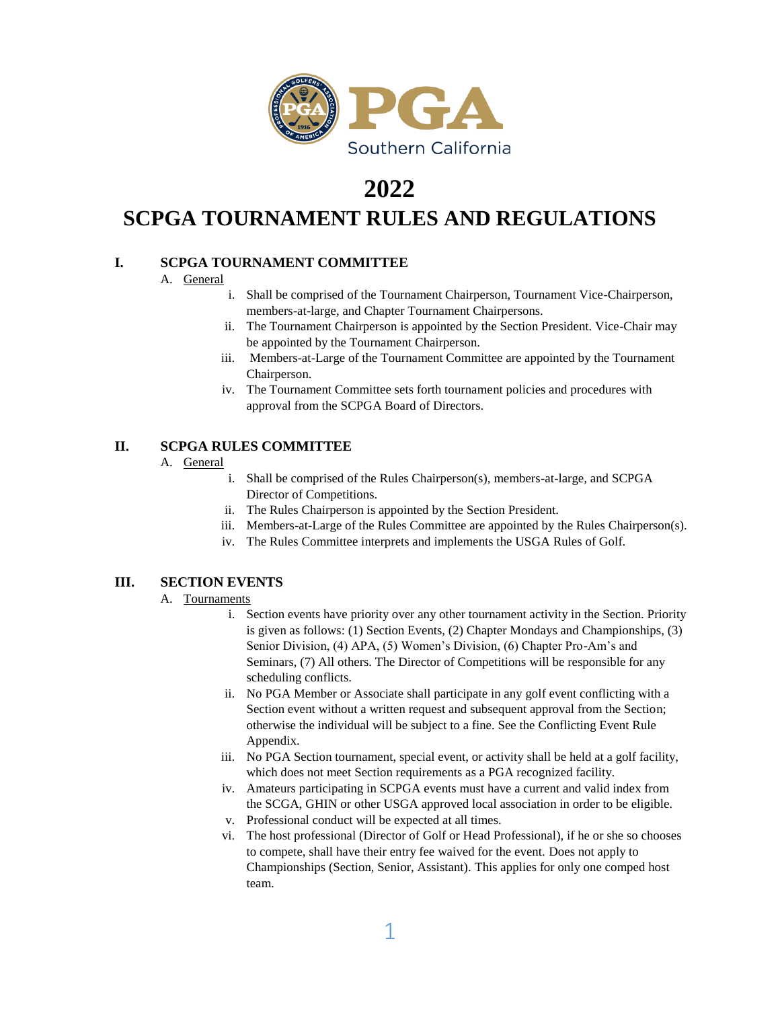

# **2022**

# **SCPGA TOURNAMENT RULES AND REGULATIONS**

# **I. SCPGA TOURNAMENT COMMITTEE**

- A. General
	- i. Shall be comprised of the Tournament Chairperson, Tournament Vice-Chairperson, members-at-large, and Chapter Tournament Chairpersons.
	- ii. The Tournament Chairperson is appointed by the Section President. Vice-Chair may be appointed by the Tournament Chairperson.
	- iii. Members-at-Large of the Tournament Committee are appointed by the Tournament Chairperson.
	- iv. The Tournament Committee sets forth tournament policies and procedures with approval from the SCPGA Board of Directors.

# **II. SCPGA RULES COMMITTEE**

# A. General

- i. Shall be comprised of the Rules Chairperson(s), members-at-large, and SCPGA Director of Competitions.
- ii. The Rules Chairperson is appointed by the Section President.
- iii. Members-at-Large of the Rules Committee are appointed by the Rules Chairperson(s).
- iv. The Rules Committee interprets and implements the USGA Rules of Golf.

# **III. SECTION EVENTS**

# A. Tournaments

- i. Section events have priority over any other tournament activity in the Section. Priority is given as follows: (1) Section Events, (2) Chapter Mondays and Championships, (3) Senior Division, (4) APA, (5) Women's Division, (6) Chapter Pro-Am's and Seminars, (7) All others. The Director of Competitions will be responsible for any scheduling conflicts.
- ii. No PGA Member or Associate shall participate in any golf event conflicting with a Section event without a written request and subsequent approval from the Section; otherwise the individual will be subject to a fine. See the Conflicting Event Rule Appendix.
- iii. No PGA Section tournament, special event, or activity shall be held at a golf facility, which does not meet Section requirements as a PGA recognized facility.
- iv. Amateurs participating in SCPGA events must have a current and valid index from the SCGA, GHIN or other USGA approved local association in order to be eligible.
- v. Professional conduct will be expected at all times.
- vi. The host professional (Director of Golf or Head Professional), if he or she so chooses to compete, shall have their entry fee waived for the event. Does not apply to Championships (Section, Senior, Assistant). This applies for only one comped host team.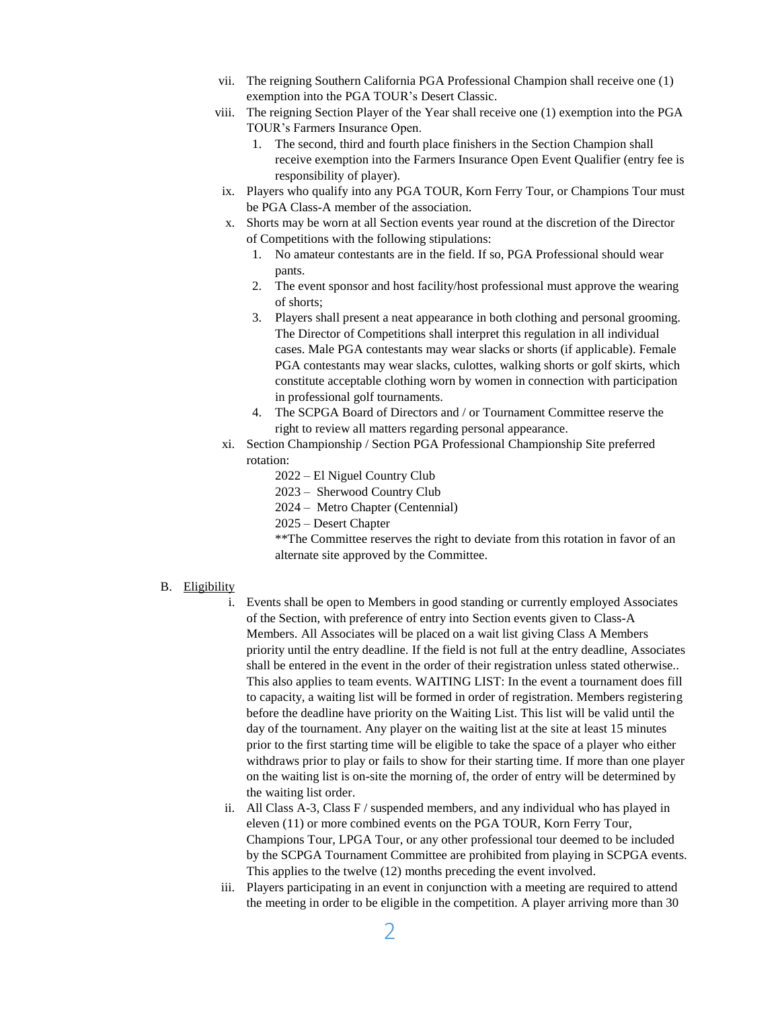- vii. The reigning Southern California PGA Professional Champion shall receive one (1) exemption into the PGA TOUR's Desert Classic.
- viii. The reigning Section Player of the Year shall receive one (1) exemption into the PGA TOUR's Farmers Insurance Open.
	- 1. The second, third and fourth place finishers in the Section Champion shall receive exemption into the Farmers Insurance Open Event Qualifier (entry fee is responsibility of player).
	- ix. Players who qualify into any PGA TOUR, Korn Ferry Tour, or Champions Tour must be PGA Class-A member of the association.
	- x. Shorts may be worn at all Section events year round at the discretion of the Director of Competitions with the following stipulations:
		- 1. No amateur contestants are in the field. If so, PGA Professional should wear pants.
		- 2. The event sponsor and host facility/host professional must approve the wearing of shorts;
		- 3. Players shall present a neat appearance in both clothing and personal grooming. The Director of Competitions shall interpret this regulation in all individual cases. Male PGA contestants may wear slacks or shorts (if applicable). Female PGA contestants may wear slacks, culottes, walking shorts or golf skirts, which constitute acceptable clothing worn by women in connection with participation in professional golf tournaments.
		- 4. The SCPGA Board of Directors and / or Tournament Committee reserve the right to review all matters regarding personal appearance.
	- xi. Section Championship / Section PGA Professional Championship Site preferred rotation:
		- 2022 El Niguel Country Club
		- 2023 Sherwood Country Club
		- 2024 Metro Chapter (Centennial)
		- 2025 Desert Chapter

\*\*The Committee reserves the right to deviate from this rotation in favor of an alternate site approved by the Committee.

## B. Eligibility

- i. Events shall be open to Members in good standing or currently employed Associates of the Section, with preference of entry into Section events given to Class-A Members. All Associates will be placed on a wait list giving Class A Members priority until the entry deadline. If the field is not full at the entry deadline, Associates shall be entered in the event in the order of their registration unless stated otherwise.. This also applies to team events. WAITING LIST: In the event a tournament does fill to capacity, a waiting list will be formed in order of registration. Members registering before the deadline have priority on the Waiting List. This list will be valid until the day of the tournament. Any player on the waiting list at the site at least 15 minutes prior to the first starting time will be eligible to take the space of a player who either withdraws prior to play or fails to show for their starting time. If more than one player on the waiting list is on-site the morning of, the order of entry will be determined by the waiting list order.
- ii. All Class A-3, Class  $F/$  suspended members, and any individual who has played in eleven (11) or more combined events on the PGA TOUR, Korn Ferry Tour, Champions Tour, LPGA Tour, or any other professional tour deemed to be included by the SCPGA Tournament Committee are prohibited from playing in SCPGA events. This applies to the twelve (12) months preceding the event involved.
- iii. Players participating in an event in conjunction with a meeting are required to attend the meeting in order to be eligible in the competition. A player arriving more than 30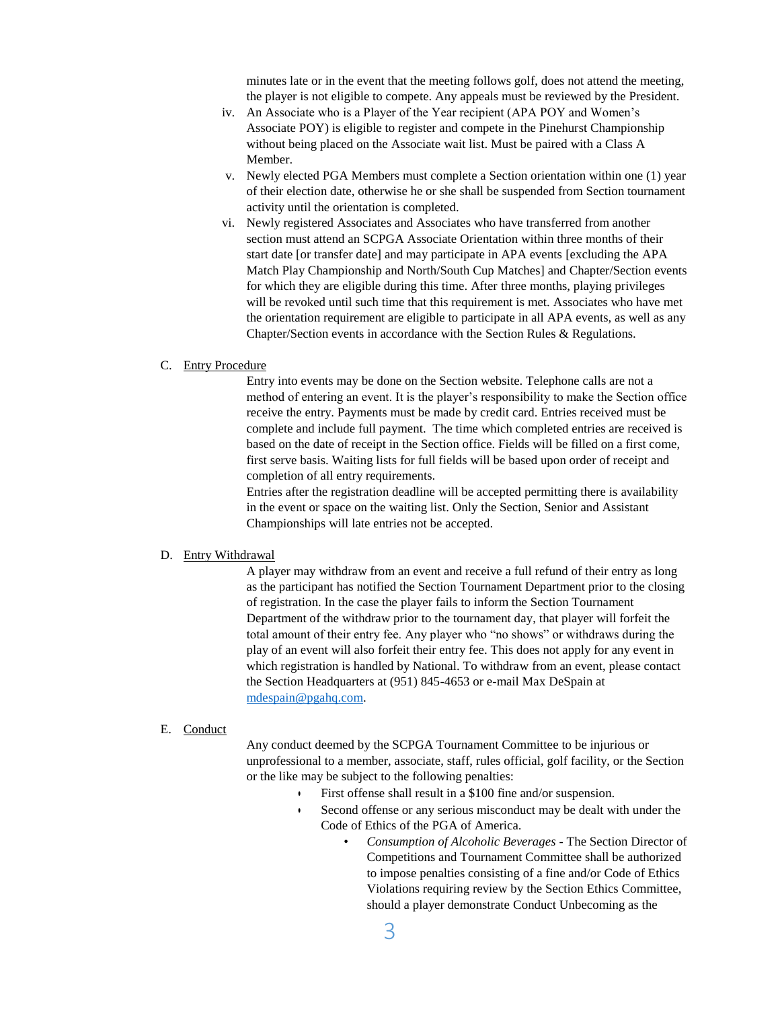minutes late or in the event that the meeting follows golf, does not attend the meeting, the player is not eligible to compete. Any appeals must be reviewed by the President.

- iv. An Associate who is a Player of the Year recipient (APA POY and Women's Associate POY) is eligible to register and compete in the Pinehurst Championship without being placed on the Associate wait list. Must be paired with a Class A Member.
- v. Newly elected PGA Members must complete a Section orientation within one (1) year of their election date, otherwise he or she shall be suspended from Section tournament activity until the orientation is completed.
- vi. Newly registered Associates and Associates who have transferred from another section must attend an SCPGA Associate Orientation within three months of their start date [or transfer date] and may participate in APA events [excluding the APA Match Play Championship and North/South Cup Matches] and Chapter/Section events for which they are eligible during this time. After three months, playing privileges will be revoked until such time that this requirement is met. Associates who have met the orientation requirement are eligible to participate in all APA events, as well as any Chapter/Section events in accordance with the Section Rules & Regulations.

#### C. Entry Procedure

Entry into events may be done on the Section website. Telephone calls are not a method of entering an event. It is the player's responsibility to make the Section office receive the entry. Payments must be made by credit card. Entries received must be complete and include full payment. The time which completed entries are received is based on the date of receipt in the Section office. Fields will be filled on a first come, first serve basis. Waiting lists for full fields will be based upon order of receipt and completion of all entry requirements.

Entries after the registration deadline will be accepted permitting there is availability in the event or space on the waiting list. Only the Section, Senior and Assistant Championships will late entries not be accepted.

#### D. Entry Withdrawal

A player may withdraw from an event and receive a full refund of their entry as long as the participant has notified the Section Tournament Department prior to the closing of registration. In the case the player fails to inform the Section Tournament Department of the withdraw prior to the tournament day, that player will forfeit the total amount of their entry fee. Any player who "no shows" or withdraws during the play of an event will also forfeit their entry fee. This does not apply for any event in which registration is handled by National. To withdraw from an event, please contact the Section Headquarters at (951) 845-4653 or e-mail Max DeSpain at [mdespain@pgahq.com.](mailto:mdespain@pgahq.com)

#### E. Conduct

Any conduct deemed by the SCPGA Tournament Committee to be injurious or unprofessional to a member, associate, staff, rules official, golf facility, or the Section or the like may be subject to the following penalties:

- First offense shall result in a \$100 fine and/or suspension.
- Second offense or any serious misconduct may be dealt with under the Code of Ethics of the PGA of America.
	- *Consumption of Alcoholic Beverages* The Section Director of Competitions and Tournament Committee shall be authorized to impose penalties consisting of a fine and/or Code of Ethics Violations requiring review by the Section Ethics Committee, should a player demonstrate Conduct Unbecoming as the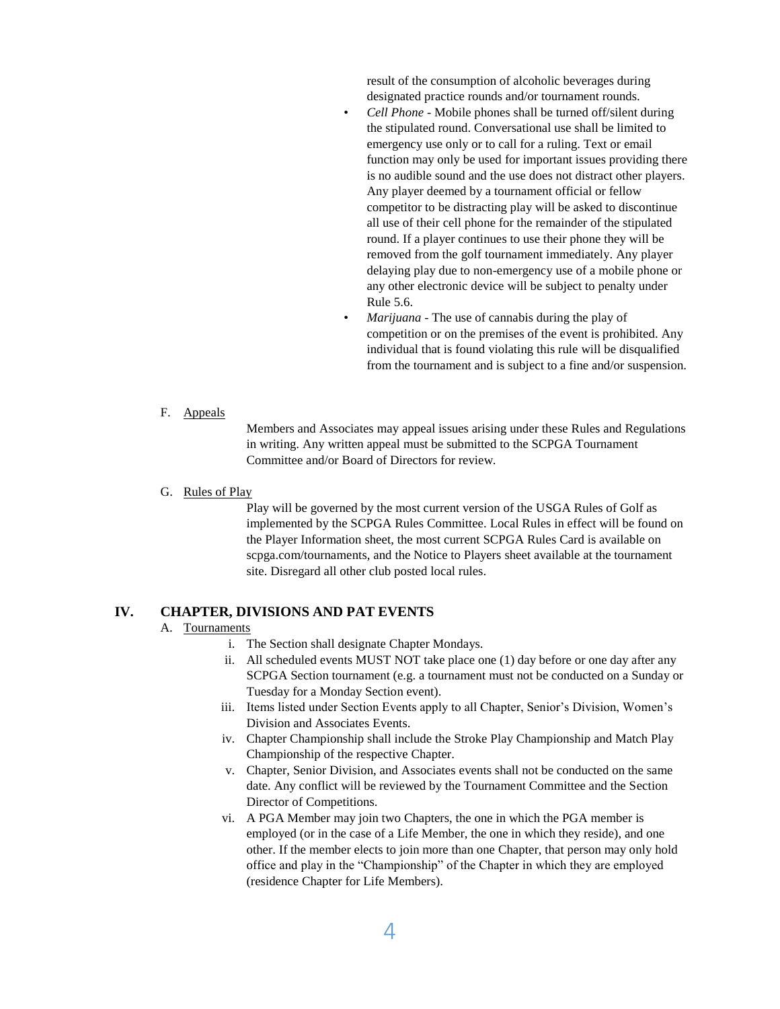result of the consumption of alcoholic beverages during designated practice rounds and/or tournament rounds.

- *Cell Phone* Mobile phones shall be turned off/silent during the stipulated round. Conversational use shall be limited to emergency use only or to call for a ruling. Text or email function may only be used for important issues providing there is no audible sound and the use does not distract other players. Any player deemed by a tournament official or fellow competitor to be distracting play will be asked to discontinue all use of their cell phone for the remainder of the stipulated round. If a player continues to use their phone they will be removed from the golf tournament immediately. Any player delaying play due to non-emergency use of a mobile phone or any other electronic device will be subject to penalty under Rule 5.6.
- *Marijuana* The use of cannabis during the play of competition or on the premises of the event is prohibited. Any individual that is found violating this rule will be disqualified from the tournament and is subject to a fine and/or suspension.

F. Appeals

Members and Associates may appeal issues arising under these Rules and Regulations in writing. Any written appeal must be submitted to the SCPGA Tournament Committee and/or Board of Directors for review.

G. Rules of Play

Play will be governed by the most current version of the USGA Rules of Golf as implemented by the SCPGA Rules Committee. Local Rules in effect will be found on the Player Information sheet, the most current SCPGA Rules Card is available on scpga.com/tournaments, and the Notice to Players sheet available at the tournament site. Disregard all other club posted local rules.

## **IV. CHAPTER, DIVISIONS AND PAT EVENTS**

## A. Tournaments

- i. The Section shall designate Chapter Mondays.
- ii. All scheduled events MUST NOT take place one (1) day before or one day after any SCPGA Section tournament (e.g. a tournament must not be conducted on a Sunday or Tuesday for a Monday Section event).
- iii. Items listed under Section Events apply to all Chapter, Senior's Division, Women's Division and Associates Events.
- iv. Chapter Championship shall include the Stroke Play Championship and Match Play Championship of the respective Chapter.
- v. Chapter, Senior Division, and Associates events shall not be conducted on the same date. Any conflict will be reviewed by the Tournament Committee and the Section Director of Competitions.
- vi. A PGA Member may join two Chapters, the one in which the PGA member is employed (or in the case of a Life Member, the one in which they reside), and one other. If the member elects to join more than one Chapter, that person may only hold office and play in the "Championship" of the Chapter in which they are employed (residence Chapter for Life Members).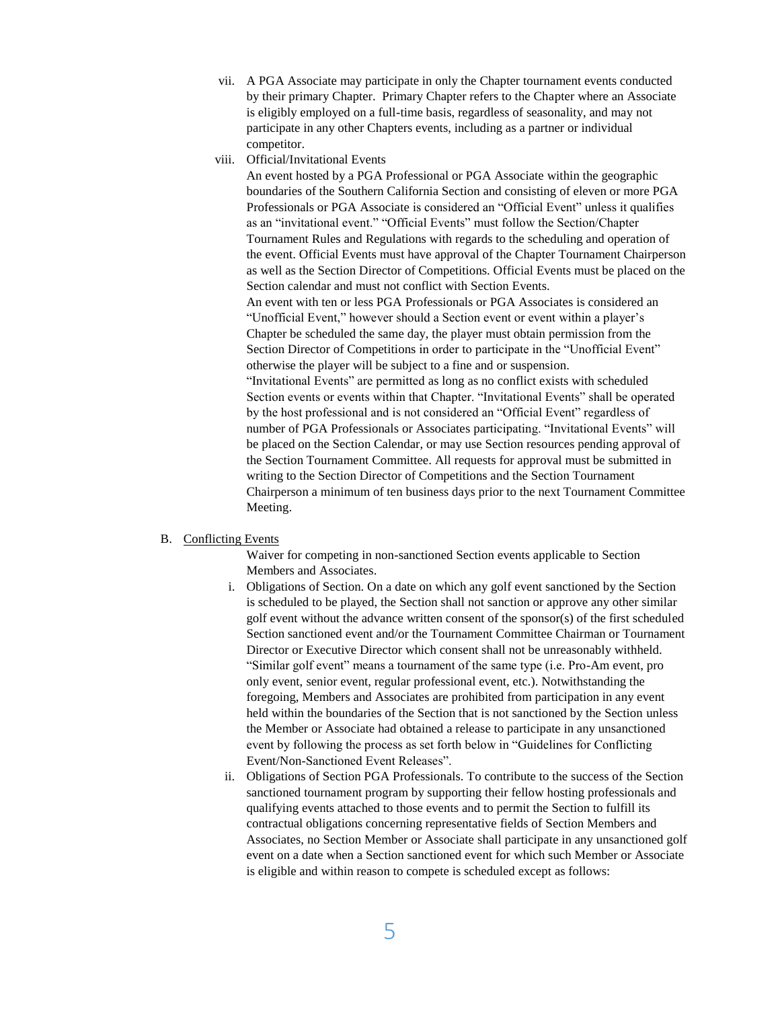- vii. A PGA Associate may participate in only the Chapter tournament events conducted by their primary Chapter. Primary Chapter refers to the Chapter where an Associate is eligibly employed on a full-time basis, regardless of seasonality, and may not participate in any other Chapters events, including as a partner or individual competitor.
- viii. Official/Invitational Events

An event hosted by a PGA Professional or PGA Associate within the geographic boundaries of the Southern California Section and consisting of eleven or more PGA Professionals or PGA Associate is considered an "Official Event" unless it qualifies as an "invitational event." "Official Events" must follow the Section/Chapter Tournament Rules and Regulations with regards to the scheduling and operation of the event. Official Events must have approval of the Chapter Tournament Chairperson as well as the Section Director of Competitions. Official Events must be placed on the Section calendar and must not conflict with Section Events.

An event with ten or less PGA Professionals or PGA Associates is considered an "Unofficial Event," however should a Section event or event within a player's Chapter be scheduled the same day, the player must obtain permission from the Section Director of Competitions in order to participate in the "Unofficial Event" otherwise the player will be subject to a fine and or suspension.

"Invitational Events" are permitted as long as no conflict exists with scheduled Section events or events within that Chapter. "Invitational Events" shall be operated by the host professional and is not considered an "Official Event" regardless of number of PGA Professionals or Associates participating. "Invitational Events" will be placed on the Section Calendar, or may use Section resources pending approval of the Section Tournament Committee. All requests for approval must be submitted in writing to the Section Director of Competitions and the Section Tournament Chairperson a minimum of ten business days prior to the next Tournament Committee Meeting.

## B. Conflicting Events

Waiver for competing in non-sanctioned Section events applicable to Section Members and Associates.

- i. Obligations of Section. On a date on which any golf event sanctioned by the Section is scheduled to be played, the Section shall not sanction or approve any other similar golf event without the advance written consent of the sponsor(s) of the first scheduled Section sanctioned event and/or the Tournament Committee Chairman or Tournament Director or Executive Director which consent shall not be unreasonably withheld. "Similar golf event" means a tournament of the same type (i.e. Pro-Am event, pro only event, senior event, regular professional event, etc.). Notwithstanding the foregoing, Members and Associates are prohibited from participation in any event held within the boundaries of the Section that is not sanctioned by the Section unless the Member or Associate had obtained a release to participate in any unsanctioned event by following the process as set forth below in "Guidelines for Conflicting Event/Non-Sanctioned Event Releases".
- ii. Obligations of Section PGA Professionals. To contribute to the success of the Section sanctioned tournament program by supporting their fellow hosting professionals and qualifying events attached to those events and to permit the Section to fulfill its contractual obligations concerning representative fields of Section Members and Associates, no Section Member or Associate shall participate in any unsanctioned golf event on a date when a Section sanctioned event for which such Member or Associate is eligible and within reason to compete is scheduled except as follows: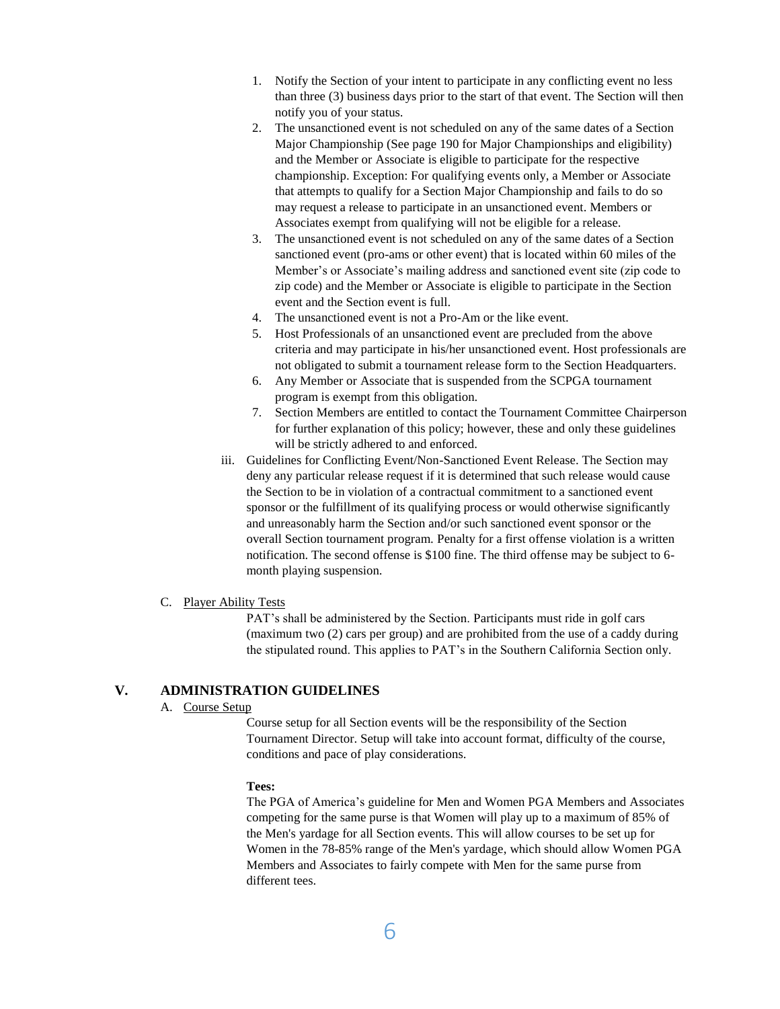- 1. Notify the Section of your intent to participate in any conflicting event no less than three (3) business days prior to the start of that event. The Section will then notify you of your status.
- 2. The unsanctioned event is not scheduled on any of the same dates of a Section Major Championship (See page 190 for Major Championships and eligibility) and the Member or Associate is eligible to participate for the respective championship. Exception: For qualifying events only, a Member or Associate that attempts to qualify for a Section Major Championship and fails to do so may request a release to participate in an unsanctioned event. Members or Associates exempt from qualifying will not be eligible for a release.
- 3. The unsanctioned event is not scheduled on any of the same dates of a Section sanctioned event (pro-ams or other event) that is located within 60 miles of the Member's or Associate's mailing address and sanctioned event site (zip code to zip code) and the Member or Associate is eligible to participate in the Section event and the Section event is full.
- 4. The unsanctioned event is not a Pro-Am or the like event.
- 5. Host Professionals of an unsanctioned event are precluded from the above criteria and may participate in his/her unsanctioned event. Host professionals are not obligated to submit a tournament release form to the Section Headquarters.
- 6. Any Member or Associate that is suspended from the SCPGA tournament program is exempt from this obligation.
- 7. Section Members are entitled to contact the Tournament Committee Chairperson for further explanation of this policy; however, these and only these guidelines will be strictly adhered to and enforced.
- iii. Guidelines for Conflicting Event/Non-Sanctioned Event Release. The Section may deny any particular release request if it is determined that such release would cause the Section to be in violation of a contractual commitment to a sanctioned event sponsor or the fulfillment of its qualifying process or would otherwise significantly and unreasonably harm the Section and/or such sanctioned event sponsor or the overall Section tournament program. Penalty for a first offense violation is a written notification. The second offense is \$100 fine. The third offense may be subject to 6 month playing suspension.

## C. Player Ability Tests

PAT's shall be administered by the Section. Participants must ride in golf cars (maximum two (2) cars per group) and are prohibited from the use of a caddy during the stipulated round. This applies to PAT's in the Southern California Section only.

# **V. ADMINISTRATION GUIDELINES**

# A. Course Setup

Course setup for all Section events will be the responsibility of the Section Tournament Director. Setup will take into account format, difficulty of the course, conditions and pace of play considerations.

## **Tees:**

The PGA of America's guideline for Men and Women PGA Members and Associates competing for the same purse is that Women will play up to a maximum of 85% of the Men's yardage for all Section events. This will allow courses to be set up for Women in the 78-85% range of the Men's yardage, which should allow Women PGA Members and Associates to fairly compete with Men for the same purse from different tees.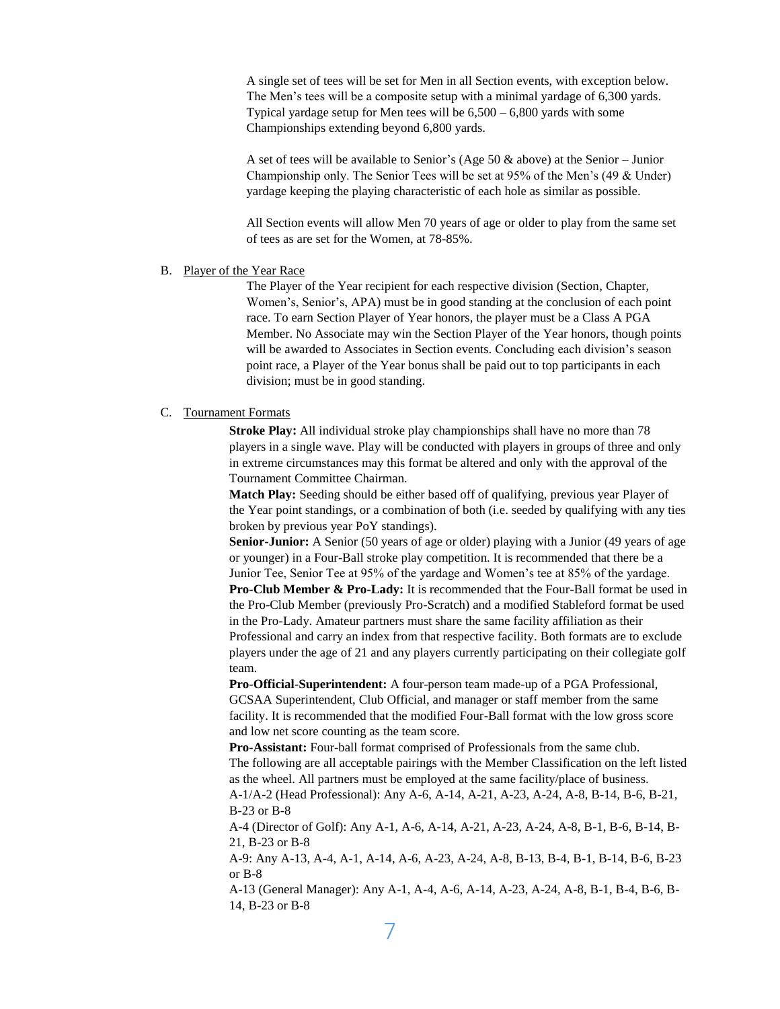A single set of tees will be set for Men in all Section events, with exception below. The Men's tees will be a composite setup with a minimal yardage of 6,300 yards. Typical yardage setup for Men tees will be  $6,500 - 6,800$  yards with some Championships extending beyond 6,800 yards.

A set of tees will be available to Senior's (Age 50  $\&$  above) at the Senior – Junior Championship only. The Senior Tees will be set at 95% of the Men's (49 & Under) yardage keeping the playing characteristic of each hole as similar as possible.

All Section events will allow Men 70 years of age or older to play from the same set of tees as are set for the Women, at 78-85%.

#### B. Player of the Year Race

The Player of the Year recipient for each respective division (Section, Chapter, Women's, Senior's, APA) must be in good standing at the conclusion of each point race. To earn Section Player of Year honors, the player must be a Class A PGA Member. No Associate may win the Section Player of the Year honors, though points will be awarded to Associates in Section events. Concluding each division's season point race, a Player of the Year bonus shall be paid out to top participants in each division; must be in good standing.

## C. Tournament Formats

**Stroke Play:** All individual stroke play championships shall have no more than 78 players in a single wave. Play will be conducted with players in groups of three and only in extreme circumstances may this format be altered and only with the approval of the Tournament Committee Chairman.

**Match Play:** Seeding should be either based off of qualifying, previous year Player of the Year point standings, or a combination of both (i.e. seeded by qualifying with any ties broken by previous year PoY standings).

**Senior-Junior:** A Senior (50 years of age or older) playing with a Junior (49 years of age or younger) in a Four-Ball stroke play competition. It is recommended that there be a Junior Tee, Senior Tee at 95% of the yardage and Women's tee at 85% of the yardage. **Pro-Club Member & Pro-Lady:** It is recommended that the Four-Ball format be used in the Pro-Club Member (previously Pro-Scratch) and a modified Stableford format be used in the Pro-Lady. Amateur partners must share the same facility affiliation as their Professional and carry an index from that respective facility. Both formats are to exclude players under the age of 21 and any players currently participating on their collegiate golf team.

**Pro-Official-Superintendent:** A four-person team made-up of a PGA Professional, GCSAA Superintendent, Club Official, and manager or staff member from the same facility. It is recommended that the modified Four-Ball format with the low gross score and low net score counting as the team score.

**Pro-Assistant:** Four-ball format comprised of Professionals from the same club. The following are all acceptable pairings with the Member Classification on the left listed as the wheel. All partners must be employed at the same facility/place of business. A-1/A-2 (Head Professional): Any A-6, A-14, A-21, A-23, A-24, A-8, B-14, B-6, B-21, B-23 or B-8

A-4 (Director of Golf): Any A-1, A-6, A-14, A-21, A-23, A-24, A-8, B-1, B-6, B-14, B-21, B-23 or B-8

A-9: Any A-13, A-4, A-1, A-14, A-6, A-23, A-24, A-8, B-13, B-4, B-1, B-14, B-6, B-23 or B-8

A-13 (General Manager): Any A-1, A-4, A-6, A-14, A-23, A-24, A-8, B-1, B-4, B-6, B-14, B-23 or B-8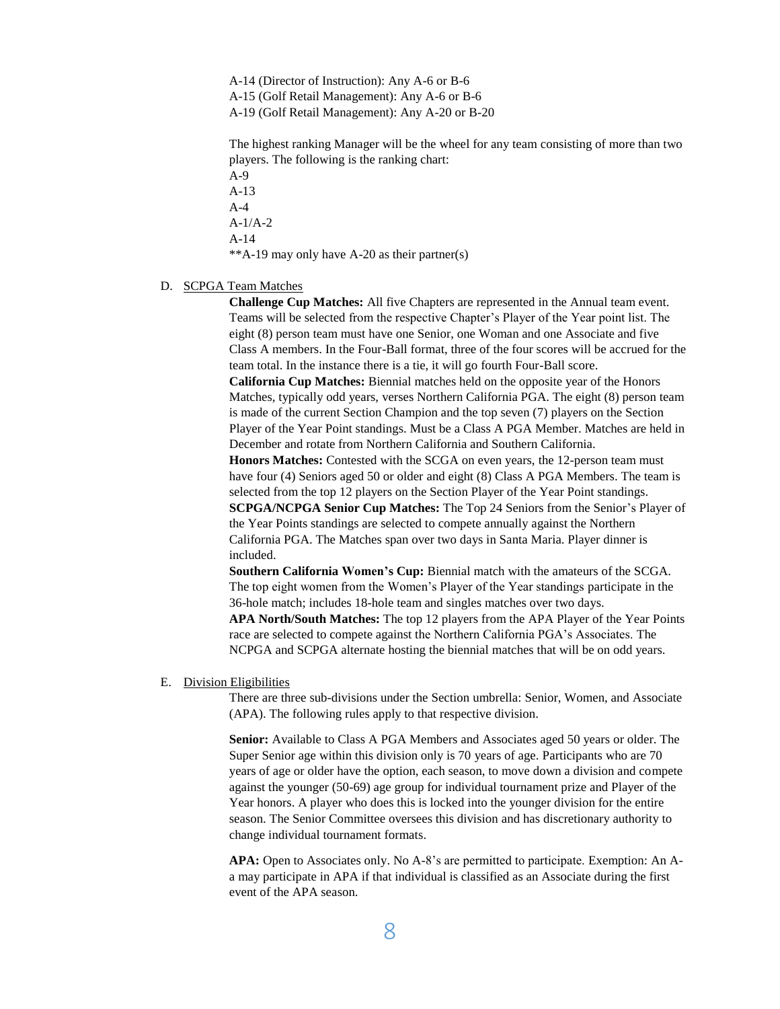A-14 (Director of Instruction): Any A-6 or B-6 A-15 (Golf Retail Management): Any A-6 or B-6 A-19 (Golf Retail Management): Any A-20 or B-20

The highest ranking Manager will be the wheel for any team consisting of more than two players. The following is the ranking chart:

A-9 A-13 A-4 A-1/A-2 A-14 \*\*A-19 may only have A-20 as their partner(s)

## D. SCPGA Team Matches

**Challenge Cup Matches:** All five Chapters are represented in the Annual team event. Teams will be selected from the respective Chapter's Player of the Year point list. The eight (8) person team must have one Senior, one Woman and one Associate and five Class A members. In the Four-Ball format, three of the four scores will be accrued for the team total. In the instance there is a tie, it will go fourth Four-Ball score. **California Cup Matches:** Biennial matches held on the opposite year of the Honors

Matches, typically odd years, verses Northern California PGA. The eight (8) person team is made of the current Section Champion and the top seven (7) players on the Section Player of the Year Point standings. Must be a Class A PGA Member. Matches are held in December and rotate from Northern California and Southern California.

**Honors Matches:** Contested with the SCGA on even years, the 12-person team must have four (4) Seniors aged 50 or older and eight (8) Class A PGA Members. The team is selected from the top 12 players on the Section Player of the Year Point standings.

**SCPGA/NCPGA Senior Cup Matches:** The Top 24 Seniors from the Senior's Player of the Year Points standings are selected to compete annually against the Northern California PGA. The Matches span over two days in Santa Maria. Player dinner is included.

**Southern California Women's Cup:** Biennial match with the amateurs of the SCGA. The top eight women from the Women's Player of the Year standings participate in the 36-hole match; includes 18-hole team and singles matches over two days.

**APA North/South Matches:** The top 12 players from the APA Player of the Year Points race are selected to compete against the Northern California PGA's Associates. The NCPGA and SCPGA alternate hosting the biennial matches that will be on odd years.

#### E. Division Eligibilities

There are three sub-divisions under the Section umbrella: Senior, Women, and Associate (APA). The following rules apply to that respective division.

**Senior:** Available to Class A PGA Members and Associates aged 50 years or older. The Super Senior age within this division only is 70 years of age. Participants who are 70 years of age or older have the option, each season, to move down a division and compete against the younger (50-69) age group for individual tournament prize and Player of the Year honors. A player who does this is locked into the younger division for the entire season. The Senior Committee oversees this division and has discretionary authority to change individual tournament formats.

**APA:** Open to Associates only. No A-8's are permitted to participate. Exemption: An Aa may participate in APA if that individual is classified as an Associate during the first event of the APA season.